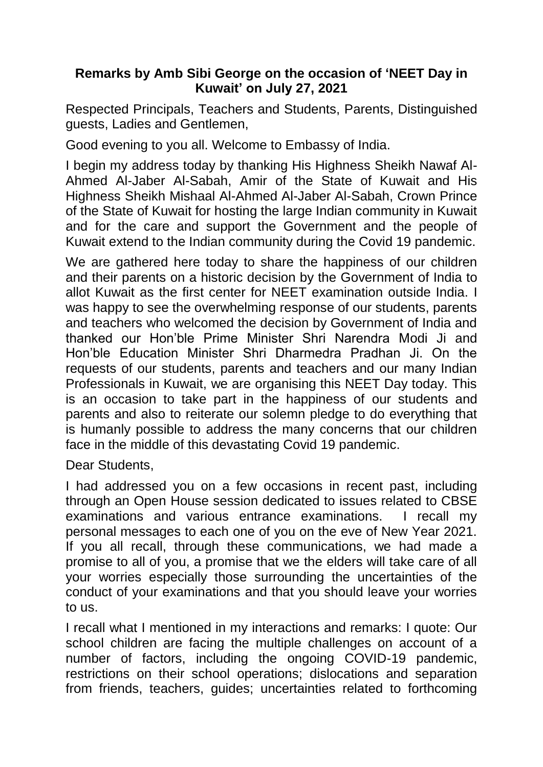## **Remarks by Amb Sibi George on the occasion of 'NEET Day in Kuwait' on July 27, 2021**

Respected Principals, Teachers and Students, Parents, Distinguished guests, Ladies and Gentlemen,

Good evening to you all. Welcome to Embassy of India.

I begin my address today by thanking His Highness Sheikh Nawaf Al-Ahmed Al-Jaber Al-Sabah, Amir of the State of Kuwait and His Highness Sheikh Mishaal Al-Ahmed Al-Jaber Al-Sabah, Crown Prince of the State of Kuwait for hosting the large Indian community in Kuwait and for the care and support the Government and the people of Kuwait extend to the Indian community during the Covid 19 pandemic.

We are gathered here today to share the happiness of our children and their parents on a historic decision by the Government of India to allot Kuwait as the first center for NEET examination outside India. I was happy to see the overwhelming response of our students, parents and teachers who welcomed the decision by Government of India and thanked our Hon'ble Prime Minister Shri Narendra Modi Ji and Hon'ble Education Minister Shri Dharmedra Pradhan Ji. On the requests of our students, parents and teachers and our many Indian Professionals in Kuwait, we are organising this NEET Day today. This is an occasion to take part in the happiness of our students and parents and also to reiterate our solemn pledge to do everything that is humanly possible to address the many concerns that our children face in the middle of this devastating Covid 19 pandemic.

Dear Students,

I had addressed you on a few occasions in recent past, including through an Open House session dedicated to issues related to CBSE examinations and various entrance examinations. I recall my personal messages to each one of you on the eve of New Year 2021. If you all recall, through these communications, we had made a promise to all of you, a promise that we the elders will take care of all your worries especially those surrounding the uncertainties of the conduct of your examinations and that you should leave your worries to us.

I recall what I mentioned in my interactions and remarks: I quote: Our school children are facing the multiple challenges on account of a number of factors, including the ongoing COVID-19 pandemic, restrictions on their school operations; dislocations and separation from friends, teachers, guides; uncertainties related to forthcoming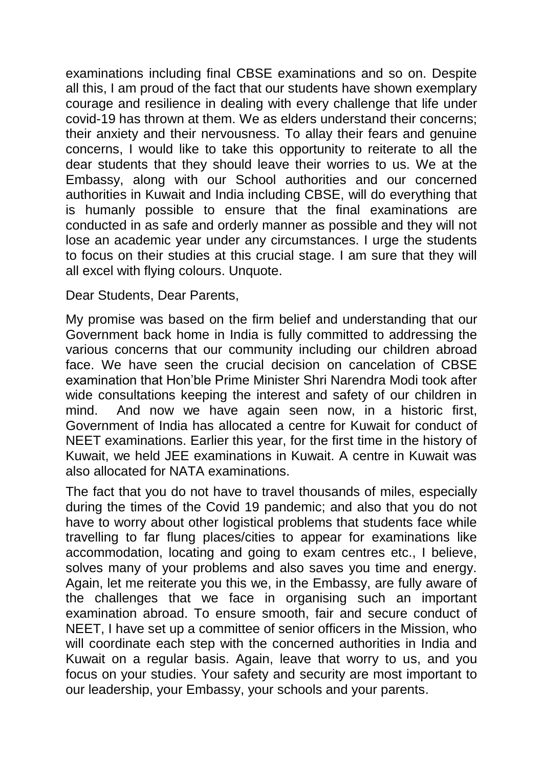examinations including final CBSE examinations and so on. Despite all this, I am proud of the fact that our students have shown exemplary courage and resilience in dealing with every challenge that life under covid-19 has thrown at them. We as elders understand their concerns; their anxiety and their nervousness. To allay their fears and genuine concerns, I would like to take this opportunity to reiterate to all the dear students that they should leave their worries to us. We at the Embassy, along with our School authorities and our concerned authorities in Kuwait and India including CBSE, will do everything that is humanly possible to ensure that the final examinations are conducted in as safe and orderly manner as possible and they will not lose an academic year under any circumstances. I urge the students to focus on their studies at this crucial stage. I am sure that they will all excel with flying colours. Unquote.

Dear Students, Dear Parents,

My promise was based on the firm belief and understanding that our Government back home in India is fully committed to addressing the various concerns that our community including our children abroad face. We have seen the crucial decision on cancelation of CBSE examination that Hon'ble Prime Minister Shri Narendra Modi took after wide consultations keeping the interest and safety of our children in mind. And now we have again seen now, in a historic first, Government of India has allocated a centre for Kuwait for conduct of NEET examinations. Earlier this year, for the first time in the history of Kuwait, we held JEE examinations in Kuwait. A centre in Kuwait was also allocated for NATA examinations.

The fact that you do not have to travel thousands of miles, especially during the times of the Covid 19 pandemic; and also that you do not have to worry about other logistical problems that students face while travelling to far flung places/cities to appear for examinations like accommodation, locating and going to exam centres etc., I believe, solves many of your problems and also saves you time and energy. Again, let me reiterate you this we, in the Embassy, are fully aware of the challenges that we face in organising such an important examination abroad. To ensure smooth, fair and secure conduct of NEET, I have set up a committee of senior officers in the Mission, who will coordinate each step with the concerned authorities in India and Kuwait on a regular basis. Again, leave that worry to us, and you focus on your studies. Your safety and security are most important to our leadership, your Embassy, your schools and your parents.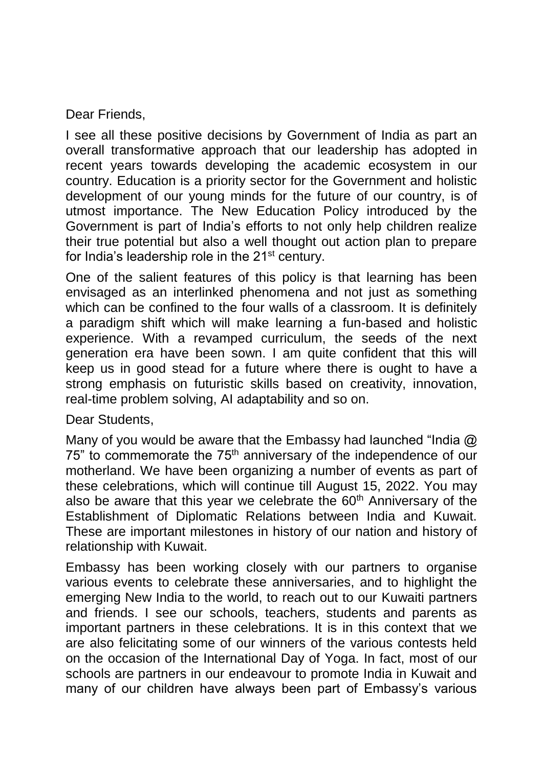Dear Friends,

I see all these positive decisions by Government of India as part an overall transformative approach that our leadership has adopted in recent years towards developing the academic ecosystem in our country. Education is a priority sector for the Government and holistic development of our young minds for the future of our country, is of utmost importance. The New Education Policy introduced by the Government is part of India's efforts to not only help children realize their true potential but also a well thought out action plan to prepare for India's leadership role in the 21<sup>st</sup> century.

One of the salient features of this policy is that learning has been envisaged as an interlinked phenomena and not just as something which can be confined to the four walls of a classroom. It is definitely a paradigm shift which will make learning a fun-based and holistic experience. With a revamped curriculum, the seeds of the next generation era have been sown. I am quite confident that this will keep us in good stead for a future where there is ought to have a strong emphasis on futuristic skills based on creativity, innovation, real-time problem solving, AI adaptability and so on.

Dear Students,

Many of you would be aware that the Embassy had launched "India  $\omega$ 75" to commemorate the 75<sup>th</sup> anniversary of the independence of our motherland. We have been organizing a number of events as part of these celebrations, which will continue till August 15, 2022. You may also be aware that this year we celebrate the 60<sup>th</sup> Anniversary of the Establishment of Diplomatic Relations between India and Kuwait. These are important milestones in history of our nation and history of relationship with Kuwait.

Embassy has been working closely with our partners to organise various events to celebrate these anniversaries, and to highlight the emerging New India to the world, to reach out to our Kuwaiti partners and friends. I see our schools, teachers, students and parents as important partners in these celebrations. It is in this context that we are also felicitating some of our winners of the various contests held on the occasion of the International Day of Yoga. In fact, most of our schools are partners in our endeavour to promote India in Kuwait and many of our children have always been part of Embassy's various